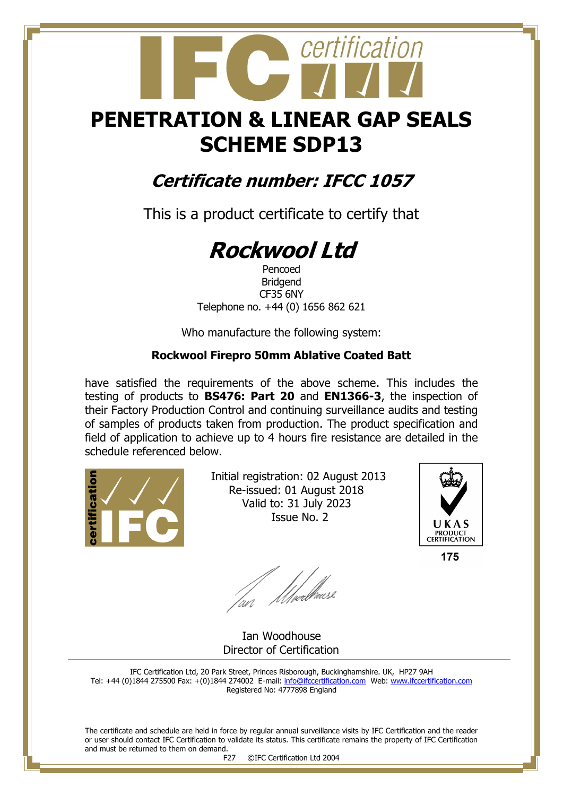## **PENETRATION & LINEAR GAP SEALS SCHEME SDP13**

certification

### **Certificate number: IFCC 1057**

This is a product certificate to certify that

# **Rockwool Ltd**

Pencoed Bridgend CF35 6NY Telephone no. +44 (0) 1656 862 621

Who manufacture the following system:

#### **Rockwool Firepro 50mm Ablative Coated Batt**

have satisfied the requirements of the above scheme. This includes the testing of products to **BS476: Part 20** and **EN1366-3**, the inspection of their Factory Production Control and continuing surveillance audits and testing of samples of products taken from production. The product specification and field of application to achieve up to 4 hours fire resistance are detailed in the schedule referenced below.



 Initial registration: 02 August 2013 Re-issued: 01 August 2018 Valid to: 31 July 2023 Issue No. 2



175

fan Moedhouse

 Ian Woodhouse Director of Certification

IFC Certification Ltd, 20 Park Street, Princes Risborough, Buckinghamshire. UK, HP27 9AH Tel: +44 (0)1844 275500 Fax: +(0)1844 274002 E-mail[: info@ifccertification.com](mailto:info@ifccertification.com) Web: [www.ifccertification.com](http://www.ifccertification.com/) Registered No: 4777898 England

The certificate and schedule are held in force by regular annual surveillance visits by IFC Certification and the reader or user should contact IFC Certification to validate its status. This certificate remains the property of IFC Certification and must be returned to them on demand.